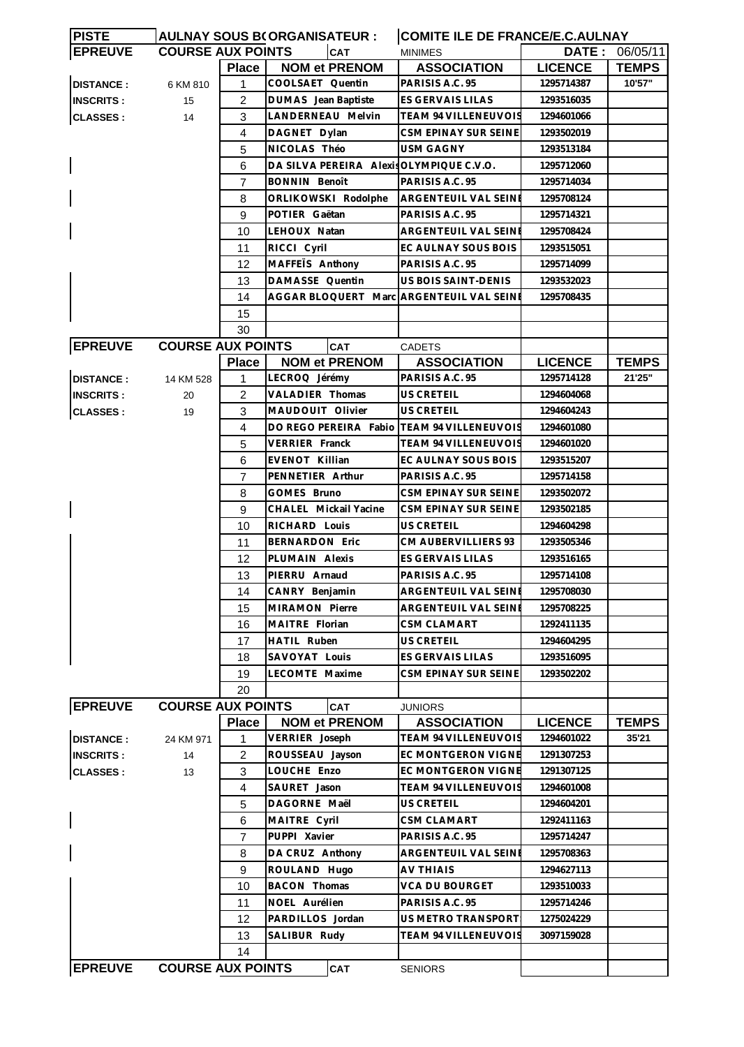| <b>PISTE</b>     |                          |                | <b>AULNAY SOUS B(ORGANISATEUR:</b>         | <b>COMITE ILE DE FRANCE/E.C.AULNAY</b> |                |                |  |
|------------------|--------------------------|----------------|--------------------------------------------|----------------------------------------|----------------|----------------|--|
| <b>EPREUVE</b>   | <b>COURSE AUX POINTS</b> |                | CAT                                        | <b>MINIMES</b>                         |                | DATE: 06/05/11 |  |
|                  |                          | <b>Place</b>   | <b>NOM et PRENOM</b>                       | <b>ASSOCIATION</b>                     | <b>LICENCE</b> | <b>TEMPS</b>   |  |
| <b>DISTANCE:</b> | 6 KM 810                 | 1              | COOLSAET Quentin                           | PARISIS A.C. 95                        | 1295714387     | 10'57"         |  |
| <b>INSCRITS:</b> | 15                       | $\overline{2}$ | DUMAS Jean Baptiste                        | ES GERVAIS LILAS                       | 1293516035     |                |  |
| <b>CLASSES:</b>  | 14                       | 3              | LANDERNEAU Melvin                          | TEAM 94 VILLENEUVOIS                   | 1294601066     |                |  |
|                  |                          | 4              | DAGNET Dylan                               | CSM EPINAY SUR SEINE                   | 1293502019     |                |  |
|                  |                          | 5              | NICOLAS Théo                               | <b>USM GAGNY</b>                       | 1293513184     |                |  |
|                  |                          | 6              | DA SILVA PEREIRA Alexis OLYMPIQUE C.V.O.   |                                        | 1295712060     |                |  |
|                  |                          | $\overline{7}$ | <b>BONNIN Benoît</b>                       | PARISIS A.C. 95                        | 1295714034     |                |  |
|                  |                          | 8              | ORLIKOWSKI Rodolphe                        | ARGENTEUIL VAL SEINE                   | 1295708124     |                |  |
|                  |                          | 9              | POTIER Gaëtan                              | PARISIS A.C. 95                        | 1295714321     |                |  |
|                  |                          | 10             | LEHOUX Natan                               | <b>ARGENTEUIL VAL SEINE</b>            | 1295708424     |                |  |
|                  |                          | 11             | RICCI Cyril                                | EC AULNAY SOUS BOIS                    | 1293515051     |                |  |
|                  |                          | 12             | MAFFEIS Anthony                            | PARISIS A.C. 95                        | 1295714099     |                |  |
|                  |                          | 13             | DAMASSE Quentin                            | US BOIS SAINT-DENIS                    | 1293532023     |                |  |
|                  |                          | 14             | AGGAR BLOQUERT Marc ARGENTEUIL VAL SEIN    |                                        | 1295708435     |                |  |
|                  |                          |                |                                            |                                        |                |                |  |
|                  |                          | 15             |                                            |                                        |                |                |  |
|                  |                          | 30             |                                            |                                        |                |                |  |
| <b>EPREUVE</b>   | <b>COURSE AUX POINTS</b> |                | <b>CAT</b>                                 | <b>CADETS</b>                          |                |                |  |
|                  |                          | <b>Place</b>   | <b>NOM et PRENOM</b>                       | <b>ASSOCIATION</b>                     | <b>LICENCE</b> | <b>TEMPS</b>   |  |
| <b>DISTANCE:</b> | 14 KM 528                | $\mathbf{1}$   | LECROQ Jérémy                              | PARISIS A.C. 95                        | 1295714128     | 21'25"         |  |
| <b>INSCRITS:</b> | 20                       | 2              | VALADIER Thomas                            | US CRETEIL                             | 1294604068     |                |  |
| <b>CLASSES:</b>  | 19                       | 3              | MAUDOUIT Olivier                           | US CRETEIL                             | 1294604243     |                |  |
|                  |                          | 4              | DO REGO PEREIRA Fabio TEAM 94 VILLENEUVOIS |                                        | 1294601080     |                |  |
|                  |                          | 5              | <b>VERRIER Franck</b>                      | TEAM 94 VILLENEUVOIS                   | 1294601020     |                |  |
|                  |                          | 6              | EVENOT Killian                             | EC AULNAY SOUS BOIS                    | 1293515207     |                |  |
|                  |                          | 7              | PENNETIER Arthur                           | PARISIS A.C. 95                        | 1295714158     |                |  |
|                  |                          | 8              | GOMES Bruno                                | CSM EPINAY SUR SEINE                   | 1293502072     |                |  |
|                  |                          | 9              | CHALEL Mickail Yacine                      | CSM EPINAY SUR SEINE                   | 1293502185     |                |  |
|                  |                          | 10             | RICHARD Louis                              | US CRETEIL                             | 1294604298     |                |  |
|                  |                          | 11             | <b>BERNARDON Eric</b>                      | CM AUBERVILLIERS 93                    | 1293505346     |                |  |
|                  |                          | 12             | PLUMAIN Alexis                             | ES GERVAIS LILAS                       | 1293516165     |                |  |
|                  |                          | 13             | PIERRU Arnaud                              | PARISIS A.C. 95                        | 1295714108     |                |  |
|                  |                          | 14             | CANRY Benjamin                             | ARGENTEUIL VAL SEINE                   | 1295708030     |                |  |
|                  |                          | 15             | MIRAMON Pierre                             | ARGENTEUIL VAL SEINE                   | 1295708225     |                |  |
|                  |                          | 16             | MAITRE Florian                             | CSM CLAMART                            | 1292411135     |                |  |
|                  |                          | 17             | HATIL Ruben                                | US CRETEIL                             | 1294604295     |                |  |
|                  |                          | 18             | SAVOYAT Louis                              | ES GERVAIS LILAS                       | 1293516095     |                |  |
|                  |                          | 19             | LECOMTE Maxime                             | CSM EPINAY SUR SEINE                   | 1293502202     |                |  |
|                  |                          | 20             |                                            |                                        |                |                |  |
| <b>EPREUVE</b>   | <b>COURSE AUX POINTS</b> |                | CAT                                        | <b>JUNIORS</b>                         |                |                |  |
|                  |                          | <b>Place</b>   | <b>NOM et PRENOM</b>                       | <b>ASSOCIATION</b>                     | <b>LICENCE</b> | <b>TEMPS</b>   |  |
| <b>DISTANCE:</b> | 24 KM 971                | 1              | VERRIER Joseph                             | TEAM 94 VILLENEUVOIS                   | 1294601022     | 35'21          |  |
| <b>INSCRITS:</b> | 14                       | 2              | ROUSSEAU Jayson                            | EC MONTGERON VIGNE                     | 1291307253     |                |  |
| <b>CLASSES:</b>  | 13                       | 3              | LOUCHE Enzo                                | EC MONTGERON VIGNE                     | 1291307125     |                |  |
|                  |                          | 4              | SAURET Jason                               | <b>TEAM 94 VILLENEUVOIS</b>            | 1294601008     |                |  |
|                  |                          | 5              | DAGORNE Maël                               | US CRETEIL                             | 1294604201     |                |  |
|                  |                          | 6              |                                            | <b>CSM CLAMART</b>                     | 1292411163     |                |  |
|                  |                          |                | MAITRE Cyril                               |                                        |                |                |  |
|                  |                          | $\overline{7}$ | PUPPI Xavier                               | PARISIS A.C. 95                        | 1295714247     |                |  |
|                  |                          | 8              | DA CRUZ Anthony                            | ARGENTEUIL VAL SEINE                   | 1295708363     |                |  |
|                  |                          | 9              | ROULAND Hugo                               | AV THIAIS                              | 1294627113     |                |  |
|                  |                          | 10             | <b>BACON Thomas</b>                        | VCA DU BOURGET                         | 1293510033     |                |  |
|                  |                          | 11             | NOEL Aurélien                              | PARISIS A.C. 95                        | 1295714246     |                |  |
|                  |                          | 12             | PARDILLOS Jordan                           | US METRO TRANSPORT                     | 1275024229     |                |  |
|                  |                          | 13             | SALIBUR Rudy                               | <b>TEAM 94 VILLENEUVOIS</b>            | 3097159028     |                |  |
|                  |                          | 14             |                                            |                                        |                |                |  |
| <b>EPREUVE</b>   | <b>COURSE AUX POINTS</b> |                | CAT                                        | <b>SENIORS</b>                         |                |                |  |